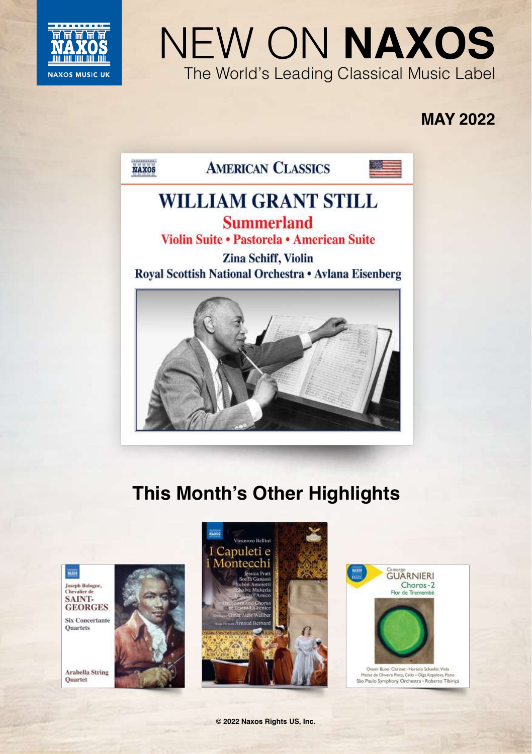

# NEW ON **NAXOS** The World's Leading Classical Music Label

# **MAY 2022**



# **This Month's Other Highlights**

Joseph Bologne,<br>Chevalier de SAINT-**GEORGES** 

**Six Concertante** Ouartets

**Arabella String** Quartet





**© 2022 Naxos Rights US, Inc.**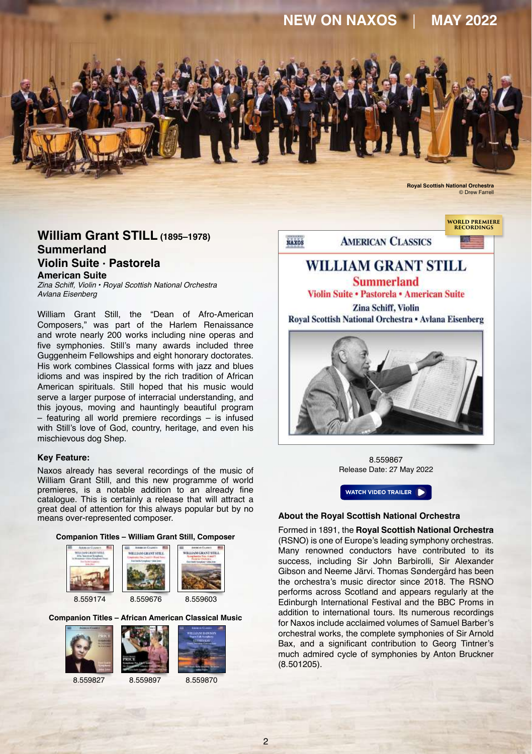

### **William Grant STILL (1895–1978) Summerland Violin Suite · Pastorela American Suite**

*Zina Schiff, Violin • Royal Scottish National Orchestra Avlana Eisenberg*

William Grant Still, the "Dean of Afro-American Composers," was part of the Harlem Renaissance and wrote nearly 200 works including nine operas and five symphonies. Still's many awards included three Guggenheim Fellowships and eight honorary doctorates. His work combines Classical forms with jazz and blues idioms and was inspired by the rich tradition of African American spirituals. Still hoped that his music would serve a larger purpose of interracial understanding, and this joyous, moving and hauntingly beautiful program – featuring all world premiere recordings – is infused with Still's love of God, country, heritage, and even his mischievous dog Shep.

#### **Key Feature:**

Naxos already has several recordings of the music of William Grant Still, and this new programme of world premieres, is a notable addition to an already fine catalogue. This is certainly a release that will attract a great deal of attention for this always popular but by no means over-represented composer.









8.559174 8.559676 8.559603

**Companion Titles – African American Classical Music**





8.559827 8.559897 8.559870



**WORLD PREMIERE** 



8.559867 Release Date: 27 May 2022



#### **About the Royal Scottish National Orchestra**

Formed in 1891, the **[Royal Scottish National Orchestra](https://www.naxos.com/person/Royal_Scottish_National_Orchestra/35420.htm)** (RSNO) is one of Europe's leading symphony orchestras. Many renowned conductors have contributed to its success, including Sir John Barbirolli, Sir Alexander Gibson and Neeme Järvi. Thomas Søndergård has been the orchestra's music director since 2018. The RSNO performs across Scotland and appears regularly at the Edinburgh International Festival and the BBC Proms in addition to international tours. Its numerous recordings for Naxos include acclaimed volumes of Samuel Barber's orchestral works, the complete symphonies of Sir Arnold Bax, and a significant contribution to Georg Tintner's much admired cycle of symphonies by Anton Bruckner (8.501205).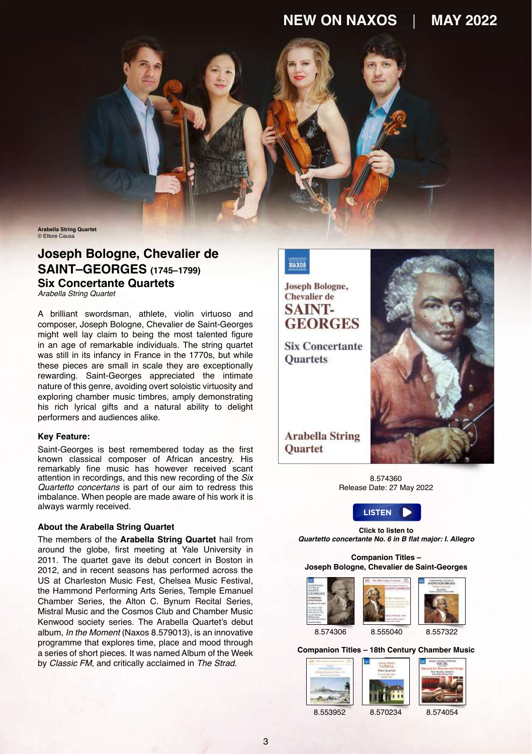**Arabella String Quartet** Ettore Caus

# **Joseph Bologne, Chevalier de SAINT–GEORGES (1745–1799) Six Concertante Quartets**

*Arabella String Quartet* 

A brilliant swordsman, athlete, violin virtuoso and composer, Joseph Bologne, Chevalier de Saint-Georges might well lay claim to being the most talented figure in an age of remarkable individuals. The string quartet was still in its infancy in France in the 1770s, but while these pieces are small in scale they are exceptionally rewarding. Saint-Georges appreciated the intimate nature of this genre, avoiding overt soloistic virtuosity and exploring chamber music timbres, amply demonstrating his rich lyrical gifts and a natural ability to delight performers and audiences alike.

#### **Key Feature:**

Saint-Georges is best remembered today as the first known classical composer of African ancestry. His remarkably fine music has however received scant attention in recordings, and this new recording of the *Six Quartetto concertans* is part of our aim to redress this imbalance. When people are made aware of his work it is always warmly received.

#### **About the Arabella String Quartet**

The members of the **[Arabella String Quartet](https://www.naxos.com/person/Arabella_String_Quartet/290057.htm)** hail from around the globe, first meeting at Yale University in 2011. The quartet gave its debut concert in Boston in 2012, and in recent seasons has performed across the US at Charleston Music Fest, Chelsea Music Festival, the Hammond Performing Arts Series, Temple Emanuel Chamber Series, the Alton C. Bynum Recital Series Mistral Music and the Cosmos Club and Chamber Music Kenwood society series. The Arabella Quartet's debut album, *In the Moment* (Naxos 8.579013), is an innovative programme that explores time, place and mood through a series of short pieces. It was named Album of the Week by *Classic FM*, and critically acclaimed in *The Strad*.



**Joseph Bologne, Chevalier** de **SAINT-GEORGES** 

**Six Concertante Ouartets** 

**Arabella String Ouartet** 



8.574360 Release Date: 27 May 2022



**Click to listen to Quartetto concertante No. 6 in B flat major: I. Allegro**

#### **Companion Titles – Joseph Bologne, Chevalier de Saint-Georges**



**Companion Titles – 18th Century Chamber Music**

| 8.553952 | 8.570234 | 8.574054 |
|----------|----------|----------|

3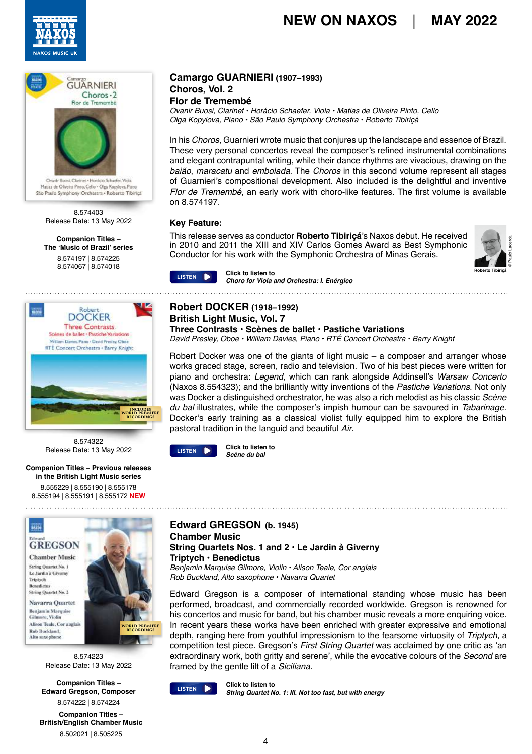



São Paulo Symphony Orchestra - Roberto Tibiriçã

8.574403 Release Date: 13 May 2022

#### **Companion Titles – The 'Music of Brazil' series**

[8.574197](https://naxosdirect.co.uk/items/camargo-guarnieri-choros-i-seresta-542475) | [8.574225](https://naxosdirect.co.uk/items/jose-ant%c3%b4nio-resdende-de-alemeida-prado-piano-concerto-no.-1-aurora-concerto-fribourgeois-535299)



8.574322 Release Date: 13 May 2022

#### **Companion Titles – Previous releases in the British Light Music series** [8.555229](https://naxosdirect.co.uk/items/richard-addinsell-british-light-music-vol.-1-goodbye-mr.-chips-the-prince-and-the-showgirl-561721) | [8.555190](https://naxosdirect.co.uk/items/ronald-binge-british-light-music-vol.-2-elizabethan-serenade-scottish-rhapsody-sailing-by-565929) | [8.555178](https://naxosdirect.co.uk/items/eric-coates-british-light-music-vol.-3-london-suite-the-merrymakers-london-again-suite-cinderella-the-selfish-giant-calling-all-workers-the-dambusters-march-570075)

[8.555194](https://naxosdirect.co.uk/items/eric-coates-springtime-suite-four-ways-suite-saxo-rhapsody-572839) | [8.555191](https://naxosdirect.co.uk/items/samuel-coleridge-taylor-hiawatha-overture-petite-suite-british-light-music-vol.-5-573618) | [8.555172](https://naxosdirect.co.uk/items/frederic-curzon-robin-hood-suite-in-malaga-the-boulevardier-punchinello-british-light-music-vol.-6-576770) **NEW**

# **BASIN GREGSON**

**Chamber Music** String Opporter No. 1 Le Jardin à Givern Trintych String Quartet No. 2

Navarra Quartet eniamin Mare Cilmore Violis Alison Teale, Cor anglais Rob Buckland Alta saxanhana



8.574223 Release Date: 13 May 2022

**Companion Titles – Edward Gregson, Composer** [8.574222](https://naxosdirect.co.uk/items/edward-gregson-complete-music-for-solo-piano-an-album-for-my-friends-piano-sonata-six-little-pieces-542474) | [8.574224](https://naxosdirect.co.uk/items/edward-gregson-instrumental-music-557603)

**Companion Titles – British/English Chamber Music** [8.502021](https://naxosdirect.co.uk/items/british-string-quartets-504904) | [8.505225](https://naxosdirect.co.uk/items/maxwell-davies-naxos-quartets-144237)

#### **Camargo GUARNIERI (1907–1993) Choros, Vol. 2**

## **Flor de Tremembé**

*Ovanir Buosi, Clarinet • Horácio Schaefer, Viola • Matias de Oliveira Pinto, Cello Olga Kopylova, Piano • São Paulo Symphony Orchestra • Roberto Tibiriçá*

In his *Choros*, Guarnieri wrote music that conjures up the landscape and essence of Brazil. These very personal concertos reveal the composer's refined instrumental combinations and elegant contrapuntal writing, while their dance rhythms are vivacious, drawing on the *baião*, *maracatu* and *embolada*. The *Choros* in this second volume represent all stages of Guarnieri's compositional development. Also included is the delightful and inventive *Flor de Tremembé*, an early work with choro-like features. The first volume is available on 8.574197.

### **Key Feature:**

This release serves as conductor **Roberto Tibiriçá**'s Naxos debut. He received in 2010 and 2011 the XIII and XIV Carlos Gomes Award as Best Symphonic Conductor for his work with the Symphonic Orchestra of Minas Gerais.



#### [8.574067](https://naxosdirect.co.uk/items/alberto-nepomuceno-symphony-in-g-minor-o-garatuja-prelude-serie-brasiliera-485417) | [8.574018](https://naxosdirect.co.uk/items/heitor-villa-lobos-guitar-concerto-harmonica-concerto-sexteto-mistico-quinteto-instrumental-511705) **Click to listen to Choro for Viola and Orchestra: I. Enérgico**

# **Robert DOCKER (1918–1992) British Light Music, Vol. 7**

**Three Contrasts • Scènes de ballet • Pastiche Variations**

*David Presley, Oboe • William Davies, Piano • RTÉ Concert Orchestra • Barry Knight*

Robert Docker was one of the giants of light music – a composer and arranger whose works graced stage, screen, radio and television. Two of his best pieces were written for piano and orchestra: *Legend*, which can rank alongside Addinsell's *Warsaw Concerto* (Naxos 8.554323); and the brilliantly witty inventions of the *Pastiche Variations*. Not only was Docker a distinguished orchestrator, he was also a rich melodist as his classic *Scène du bal* illustrates, while the composer's impish humour can be savoured in *Tabarinage*. Docker's early training as a classical violist fully equipped him to explore the British pastoral tradition in the languid and beautiful *Air*.

**Click to listen to EXECUTED DESCRIPTION** CHICK TO [LISTEN](https://soundcloud.com/naxosmusicgroup/8574322-track02-excerpt)

### **Edward GREGSON (b. 1945) Chamber Music String Quartets Nos. 1 and 2 • Le Jardin à Giverny Triptych • Benedictus**

*Benjamin Marquise Gilmore, Violin • Alison Teale, Cor anglais Rob Buckland, Alto saxophone • Navarra Quartet*

Edward Gregson is a composer of international standing whose music has been performed, broadcast, and commercially recorded worldwide. Gregson is renowned for his concertos and music for band, but his chamber music reveals a more enquiring voice. In recent years these works have been enriched with greater expressive and emotional depth, ranging here from youthful impressionism to the fearsome virtuosity of *Triptych*, a competition test piece. Gregson's *First String Quartet* was acclaimed by one critic as 'an extraordinary work, both gritty and serene', while the evocative colours of the *Second* are framed by the gentle lilt of a *Siciliana*.



**Click to listen to String Quartet No. 1: III. Not too fast, but with energy CIICK to Itself** No. 1: III. Not too fast, but with energy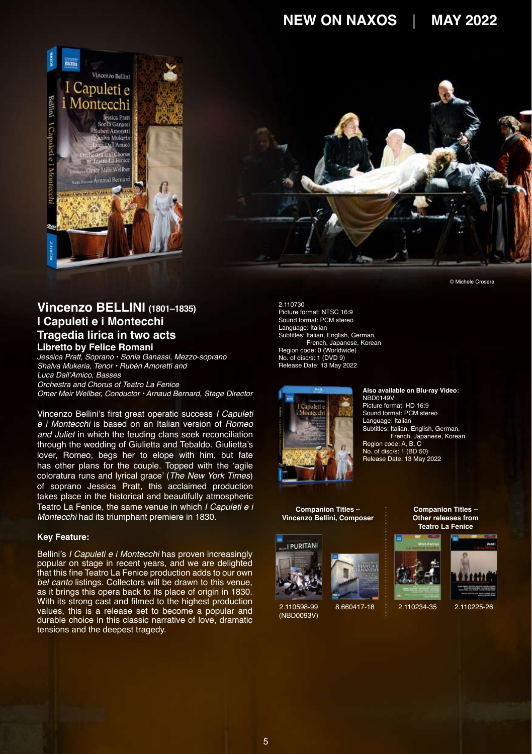



## **Vincenzo BELLINI (1801–1835) I Capuleti e i Montecchi Tragedia lirica in two acts Libretto by Felice Romani**

*Jessica Pratt, Soprano • Sonia Ganassi, Mezzo-soprano Shalva Mukeria, Tenor • Rubén Amoretti and*  Luca Dall'Amico, Basses *Orchestra and Chorus of Teatro La Fenice Omer Meir Wellber, Conductor • Arnaud Bernard, Stage Director*

Vincenzo Bellini's first great operatic success *I Capuleti e i Montecchi* is based on an Italian version of *Romeo and Juliet* in which the feuding clans seek reconciliation through the wedding of Giulietta and Tebaldo. Giulietta's lover, Romeo, begs her to elope with him, but fate has other plans for the couple. Topped with the 'agile coloratura runs and lyrical grace' (*The New York Times*) of soprano Jessica Pratt, this acclaimed production takes place in the historical and beautifully atmospheric Teatro La Fenice, the same venue in which *I Capuleti e i Montecchi* had its triumphant premiere in 1830.

#### **Key Feature:**

Bellini's *I Capuleti e i Montecchi* has proven increasingly popular on stage in recent years, and we are delighted that this fine Teatro La Fenice production adds to our own *bel canto* listings. Collectors will be drawn to this venue, as it brings this opera back to its place of origin in 1830. With its strong cast and filmed to the highest production values, this is a release set to become a popular and durable choice in this classic narrative of love, dramatic tensions and the deepest tragedy.

2.110730 Picture format: NTSC 16:9 Sound format: PCM stereo Language: Italian Subtitles: Italian, English, German, French, Japanese, Korean Region code: 0 (Worldwide) No. of disc/s: 1 (DVD 9) Release Date: 13 May 2022



**Companion Titles – Vincenzo Bellini, Composer**



2.110598-99 [\(NBD0093V\)](https://naxosdirect.co.uk/items/vicenzo-bellini-i-puritani-488428)



**Also available on Blu-ray Video:**

NBD0149V Picture format: HD 16:9 Sound format: PCM stereo Language: Italian Subtitles: Italian, English, German, French, Japanese, Korean Region code: A, B, C No. of disc/s: 1 (BD 50) Release Date: 13 May 2022

> **Companion Titles – Other releases from Teatro La Fenice**



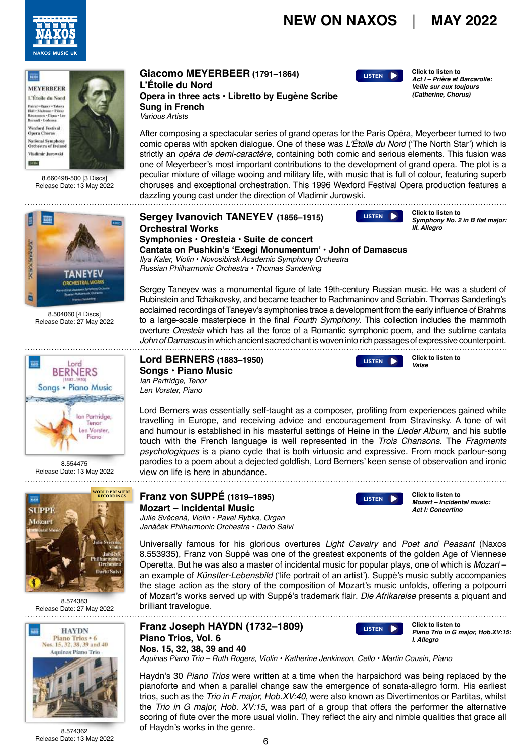



8.660498-500 [3 Discs] Release Date: 13 May 2022



8.504060 [4 Discs] Release Date: 27 May 2022



8.554475 Release Date: 13 May 2022



8.574383 Release Date: 27 May 2022



**Giacomo MEYERBEER (1791–1864) L'Étoile du Nord Opera in three acts • Libretto by Eugène Scribe Sung in French** *Various Artists*

**[LISTEN](https://soundcloud.com/naxosmusicgroup/8660498500-cd1-track18-excerpt)**

**Click to listen to Act I – Prière et Barcarolle: Veille sur eux toujours (Catherine, Chorus)**

After composing a spectacular series of grand operas for the Paris Opéra, Meyerbeer turned to two comic operas with spoken dialogue. One of these was L'Étoile du Nord ('The North Star') which is strictly an *opéra de demi-caractère*, containing both comic and serious elements. This fusion was one of Meyerbeer's most important contributions to the development of grand opera. The plot is a peculiar mixture of village wooing and military life, with music that is full of colour, featuring superb choruses and exceptional orchestration. This 1996 Wexford Festival Opera production features a dazzling young cast under the direction of Vladimir Jurowski.

|                                                              | Sergey Ivanovich TANEYEV (1856–1915)                                                            | LISTEN D | Click to listen to<br>Symphony No. 2 in B flat major: |  |
|--------------------------------------------------------------|-------------------------------------------------------------------------------------------------|----------|-------------------------------------------------------|--|
|                                                              | <b>Orchestral Works</b>                                                                         |          | III. Allearo                                          |  |
|                                                              |                                                                                                 |          |                                                       |  |
| Cantata on Pushkin's 'Exegi Monumentum' · John of Damascus   |                                                                                                 |          |                                                       |  |
| Ilya Kaler, Violin • Novosibirsk Academic Symphony Orchestra |                                                                                                 |          |                                                       |  |
|                                                              | Russian Philharmonic Orchestra • Thomas Sanderling                                              |          |                                                       |  |
|                                                              | Sergey Taneyev was a monumental figure of late 19th-century Russian music. He was a student of  |          |                                                       |  |
|                                                              | Rubinstein and Tchaikovsky, and became teacher to Rachmaninov and Scriabin. Thomas Sanderling's |          |                                                       |  |

Rubinstein and Tchaikovsky, and became teacher to Rachmaninov and Scriabin. Thomas Sanderling's acclaimed recordings of Taneyev's symphonies trace a development from the early influence of Brahms to a large-scale masterpiece in the final *Fourth Symphony*. This collection includes the mammoth overture *Oresteia* which has all the force of a Romantic symphonic poem, and the sublime cantata *John of Damascus* in which ancient sacred chant is woven into rich passages of expressive counterpoint.

**Lord BERNERS (1883–1950) Songs • Piano Music** *Ian Partridge, Tenor Len Vorster, Piano*

Lord Berners was essentially self-taught as a composer, profiting from experiences gained while travelling in Europe, and receiving advice and encouragement from Stravinsky. A tone of wit and humour is established in his masterful settings of Heine in the *Lieder Album*, and his subtle touch with the French language is well represented in the *Trois Chansons*. The *Fragments psychologiques* is a piano cycle that is both virtuosic and expressive. From mock parlour-song parodies to a poem about a dejected goldfish, Lord Berners' keen sense of observation and ironic view on life is here in abundance. 

**Franz von SUPPÉ (1819–1895) Mozart – Incidental Music** Julie Svěcená, Violin • Pavel Rybka, Organ Janáček Philharmonic Orchestra • Dario Salvi



**[LISTEN](https://soundcloud.com/naxosmusicgroup/8554475-track25-excerpt)** 

**[LISTEN](https://soundcloud.com/naxosmusicgroup/8574362-track01-excerpt)**

**Click to listen to Mozart – Incidental music: Act I: Concertino**

**Click to listen to**

200 S. S. St. 1

**Click to listen to**

**I. Allegro**

**Piano Trio in G major, Hob.XV:15:** 

Universally famous for his glorious overtures *Light Cavalry* and *Poet and Peasant* (Naxos 8.553935), Franz von Suppé was one of the greatest exponents of the golden Age of Viennese Operetta. But he was also a master of incidental music for popular plays, one of which is *Mozart* – an example of *Künstler-Lebensbild* ('life portrait of an artist'). Suppé's music subtly accompanies the stage action as the story of the composition of Mozart's music unfolds, offering a potpourri of Mozart's works served up with Suppé's trademark flair. *Die Afrikareise* presents a piquant and brilliant travelogue.

**Franz Joseph HAYDN (1732–1809) Piano Trios, Vol. 6 Nos. 15, 32, 38, 39 and 40**

*Aquinas Piano Trio – Ruth Rogers, Violin • Katherine Jenkinson, Cello • Martin Cousin, Piano*

Haydn's 30 *Piano Trios* were written at a time when the harpsichord was being replaced by the pianoforte and when a parallel change saw the emergence of sonata-allegro form. His earliest trios, such as the *Trio in F major, Hob.XV:40*, were also known as Divertimentos or Partitas, whilst the *Trio in G major, Hob. XV:15*, was part of a group that offers the performer the alternative scoring of flute over the more usual violin. They reflect the airy and nimble qualities that grace all of Haydn's works in the genre.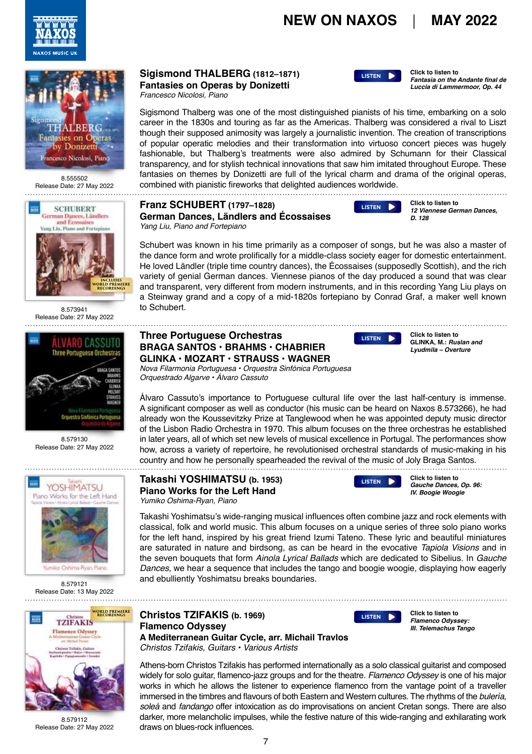**[LISTEN](https://soundcloud.com/naxosmusicgroup/8555502-track04-excerpt)**





Release Date: 27 May 2022



8.573941 Release Date: 27 May 2022



8.579130 Release Date: 27 May 2022 



Release Date: 13 May 2022



Release Date: 27 May 2022

## **Sigismond THALBERG (1812–1871) Fantasies on Operas by Donizetti**

*Francesco Nicolosi, Piano*

to Schubert.

Sigismond Thalberg was one of the most distinguished pianists of his time, embarking on a solo career in the 1830s and touring as far as the Americas. Thalberg was considered a rival to Liszt though their supposed animosity was largely a journalistic invention. The creation of transcriptions of popular operatic melodies and their transformation into virtuoso concert pieces was hugely fashionable, but Thalberg's treatments were also admired by Schumann for their Classical transparency, and for stylish technical innovations that saw him imitated throughout Europe. These fantasies on themes by Donizetti are full of the lyrical charm and drama of the original operas, 8.555502 accombined with pianistic fireworks that delighted audiences worldwide.<br>Date: 27 May 2022 combined with pianistic fireworks that delighted audiences worldwide.

> and transparent, very different from modern instruments, and in this recording Yang Liu plays on a Steinway grand and a copy of a mid-1820s fortepiano by Conrad Graf, a maker well known

#### **Franz SCHUBERT (1797–1828) German Dances, Ländlers and Écossaises** *Yang Liu, Piano and Fortepiano*



**Click to listen to 12 Viennese German Dances, D. 128**

**Click to listen to**

**Fantasia on the Andante final de Luccia di Lammermoor, Op. 44**

Schubert was known in his time primarily as a composer of songs, but he was also a master of the dance form and wrote prolifically for a middle-class society eager for domestic entertainment. He loved Ländler (triple time country dances), the Écossaises (supposedly Scottish), and the rich variety of genial German dances. Viennese pianos of the day produced a sound that was clear

### **Three Portuguese Orchestras BRAGA SANTOS • BRAHMS • CHABRIER GLINKA • MOZART • STRAUSS • WAGNER**

**[LISTEN](https://soundcloud.com/naxosmusicgroup/8573941-track15-excerpt)**

**Click to listen to GLINKA, M.: Ruslan and Lyudmila – Overture**

*Nova Filarmonia Portuguesa • Orquestra Sinfónica Portuguesa Orquestrado Algarve • Álvaro Cassuto*

Álvaro Cassuto's importance to Portuguese cultural life over the last half-century is immense. A significant composer as well as conductor (his music can be heard on Naxos 8.573266), he had already won the Koussevitzky Prize at Tanglewood when he was appointed deputy music director of the Lisbon Radio Orchestra in 1970. This album focuses on the three orchestras he established in later years, all of which set new levels of musical excellence in Portugal. The performances show how, across a variety of repertoire, he revolutionised orchestral standards of music-making in his country and how he personally spearheaded the revival of the music of Joly Braga Santos.

#### **Takashi YOSHIMATSU (b. 1953) Piano Works for the Left Hand** *Yumiko Oshima-Ryan, Piano*



[LISTEN](https://soundcloud.com/naxosmusicgroup/8579112-track03-excerpt)<sub>1</sub>

**Click to listen to Gauche Dances, Op. 96: IV. Boogie Woogie**

**Click to listen to Flamenco Odyssey: III. Telemachus Tango**

Takashi Yoshimatsu's wide-ranging musical influences often combine jazz and rock elements with classical, folk and world music. This album focuses on a unique series of three solo piano works for the left hand, inspired by his great friend Izumi Tateno. These lyric and beautiful miniatures are saturated in nature and birdsong, as can be heard in the evocative *Tapiola Visions* and in the seven bouquets that form *Ainola Lyrical Ballads* which are dedicated to Sibelius. In *Gauche Dances*, we hear a sequence that includes the tango and boogie woogie, displaying how eagerly and ebulliently Yoshimatsu breaks boundaries.

> **Christos TZIFAKIS (b. 1969) Flamenco Odyssey A Mediterranean Guitar Cycle, arr. Michail Travlos** *Christos Tzifakis, Guitars • Various Artists*

Athens-born Christos Tzifakis has performed internationally as a solo classical guitarist and composed widely for solo guitar, flamenco-jazz groups and for the theatre. *Flamenco Odyssey* is one of his major works in which he allows the listener to experience flamenco from the vantage point of a traveller immersed in the timbres and flavours of both Eastern and Western cultures. The rhythms of the *bulería*, *soleá* and *fandango* offer intoxication as do improvisations on ancient Cretan songs. There are also darker, more melancholic impulses, while the festive nature of this wide-ranging and exhilarating work 8.579112 darker, more melancholic impuls<br>Date: 27 May 2022 draws on blues-rock influences.